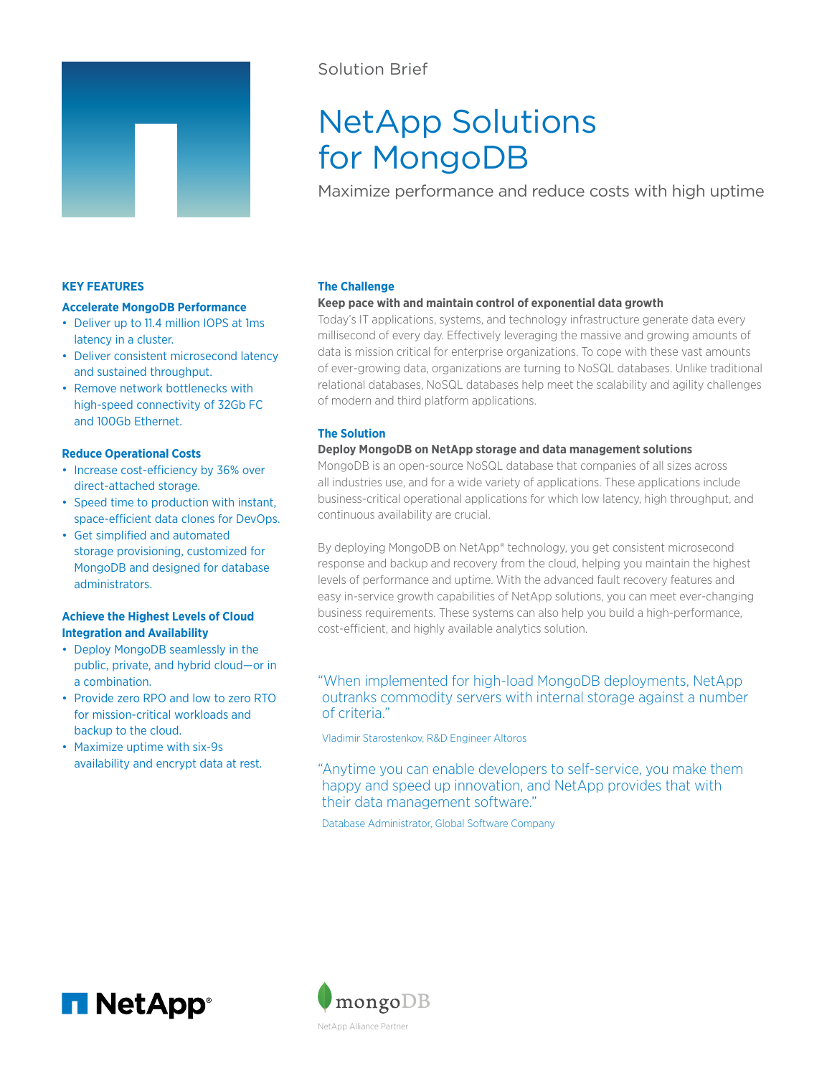

# Solution Brief

# NetApp Solutions for MongoDB

Maximize performance and reduce costs with high uptime

# **KEY FEATURES**

### **Accelerate MongoDB Performance**

- Deliver up to 11.4 million IOPS at 1ms latency in a cluster.
- Deliver consistent microsecond latency and sustained throughput.
- Remove network bottlenecks with high-speed connectivity of 32Gb FC and 100Gb Ethernet.

#### **Reduce Operational Costs**

- Increase cost-efficiency by 36% over direct-attached storage.
- Speed time to production with instant, space-efficient data clones for DevOps.
- Get simplified and automated storage provisioning, customized for MongoDB and designed for database administrators.

# **Achieve the Highest Levels of Cloud Integration and Availability**

- Deploy MongoDB seamlessly in the public, private, and hybrid cloud—or in a combination.
- Provide zero RPO and low to zero RTO for mission-critical workloads and backup to the cloud.
- Maximize uptime with six-9s availability and encrypt data at rest.

#### **The Challenge**

### **Keep pace with and maintain control of exponential data growth**

Today's IT applications, systems, and technology infrastructure generate data every millisecond of every day. Effectively leveraging the massive and growing amounts of data is mission critical for enterprise organizations. To cope with these vast amounts of ever-growing data, organizations are turning to NoSQL databases. Unlike traditional relational databases, NoSQL databases help meet the scalability and agility challenges of modern and third platform applications.

# **The Solution**

# **Deploy MongoDB on NetApp storage and data management solutions**

MongoDB is an open-source NoSQL database that companies of all sizes across all industries use, and for a wide variety of applications. These applications include business-critical operational applications for which low latency, high throughput, and continuous availability are crucial.

By deploying MongoDB on NetApp® technology, you get consistent microsecond response and backup and recovery from the cloud, helping you maintain the highest levels of performance and uptime. With the advanced fault recovery features and easy in-service growth capabilities of NetApp solutions, you can meet ever-changing business requirements. These systems can also help you build a high-performance, cost-efficient, and highly available analytics solution.

# "When implemented for high-load MongoDB deployments, NetApp outranks commodity servers with internal storage against a number of criteria."

Vladimir Starostenkov, R&D Engineer Altoros

"Anytime you can enable developers to self-service, you make them happy and speed up innovation, and NetApp provides that with their data management software."

Database Administrator, Global Software Company



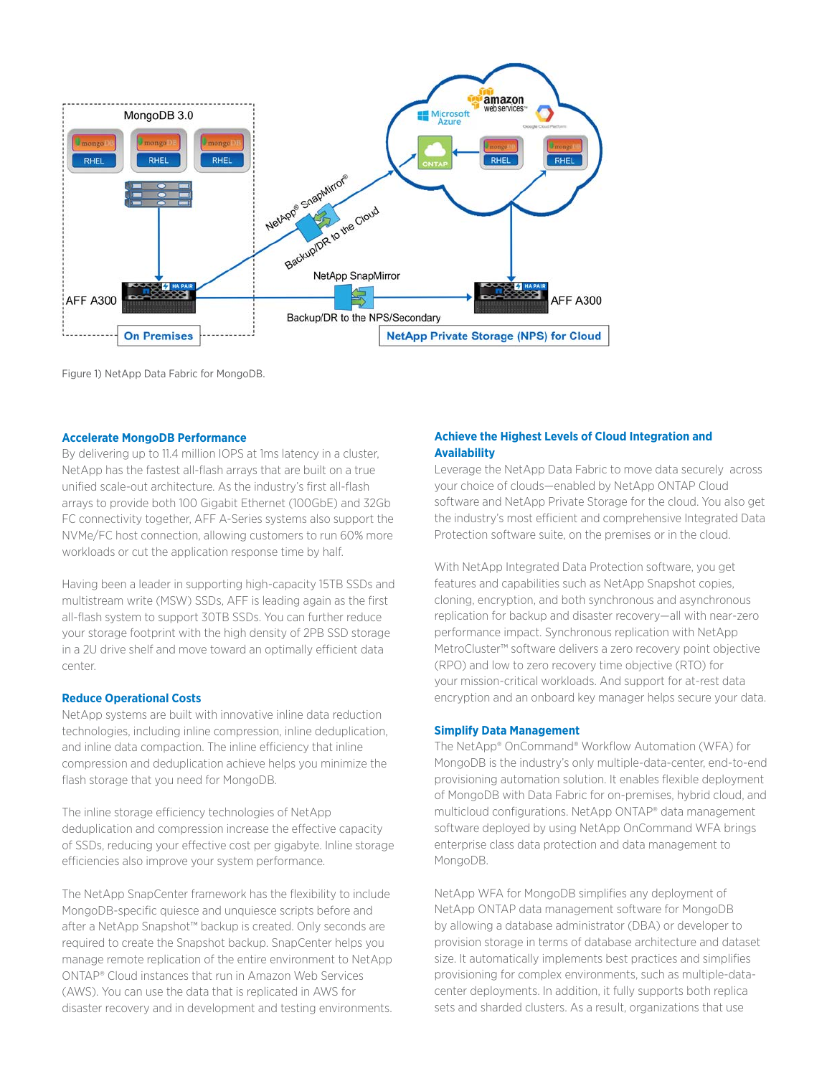

Figure 1) NetApp Data Fabric for MongoDB.

#### **Accelerate MongoDB Performance**

By delivering up to 11.4 million IOPS at 1ms latency in a cluster, NetApp has the fastest all-flash arrays that are built on a true unified scale-out architecture. As the industry's first all-flash arrays to provide both 100 Gigabit Ethernet (100GbE) and 32Gb FC connectivity together, AFF A-Series systems also support the NVMe/FC host connection, allowing customers to run 60% more workloads or cut the application response time by half.

Having been a leader in supporting high-capacity 15TB SSDs and multistream write (MSW) SSDs, AFF is leading again as the first all-flash system to support 30TB SSDs. You can further reduce your storage footprint with the high density of 2PB SSD storage in a 2U drive shelf and move toward an optimally efficient data center.

# **Reduce Operational Costs**

NetApp systems are built with innovative inline data reduction technologies, including inline compression, inline deduplication, and inline data compaction. The inline efficiency that inline compression and deduplication achieve helps you minimize the flash storage that you need for MongoDB.

The inline storage efficiency technologies of NetApp deduplication and compression increase the effective capacity of SSDs, reducing your effective cost per gigabyte. Inline storage efficiencies also improve your system performance.

The NetApp SnapCenter framework has the flexibility to include MongoDB-specific quiesce and unquiesce scripts before and after a NetApp Snapshot™ backup is created. Only seconds are required to create the Snapshot backup. SnapCenter helps you manage remote replication of the entire environment to NetApp ONTAP® Cloud instances that run in Amazon Web Services (AWS). You can use the data that is replicated in AWS for disaster recovery and in development and testing environments.

# **Achieve the Highest Levels of Cloud Integration and Availability**

Leverage the NetApp Data Fabric to move data securely across your choice of clouds—enabled by NetApp ONTAP Cloud software and NetApp Private Storage for the cloud. You also get the industry's most efficient and comprehensive Integrated Data Protection software suite, on the premises or in the cloud.

With NetApp Integrated Data Protection software, you get features and capabilities such as NetApp Snapshot copies, cloning, encryption, and both synchronous and asynchronous replication for backup and disaster recovery—all with near-zero performance impact. Synchronous replication with NetApp MetroCluster™ software delivers a zero recovery point objective (RPO) and low to zero recovery time objective (RTO) for your mission-critical workloads. And support for at-rest data encryption and an onboard key manager helps secure your data.

#### **Simplify Data Management**

The NetApp® OnCommand® Workflow Automation (WFA) for MongoDB is the industry's only multiple-data-center, end-to-end provisioning automation solution. It enables flexible deployment of MongoDB with Data Fabric for on-premises, hybrid cloud, and multicloud configurations. NetApp ONTAP® data management software deployed by using NetApp OnCommand WFA brings enterprise class data protection and data management to MongoDB.

NetApp WFA for MongoDB simplifies any deployment of NetApp ONTAP data management software for MongoDB by allowing a database administrator (DBA) or developer to provision storage in terms of database architecture and dataset size. It automatically implements best practices and simplifies provisioning for complex environments, such as multiple-datacenter deployments. In addition, it fully supports both replica sets and sharded clusters. As a result, organizations that use